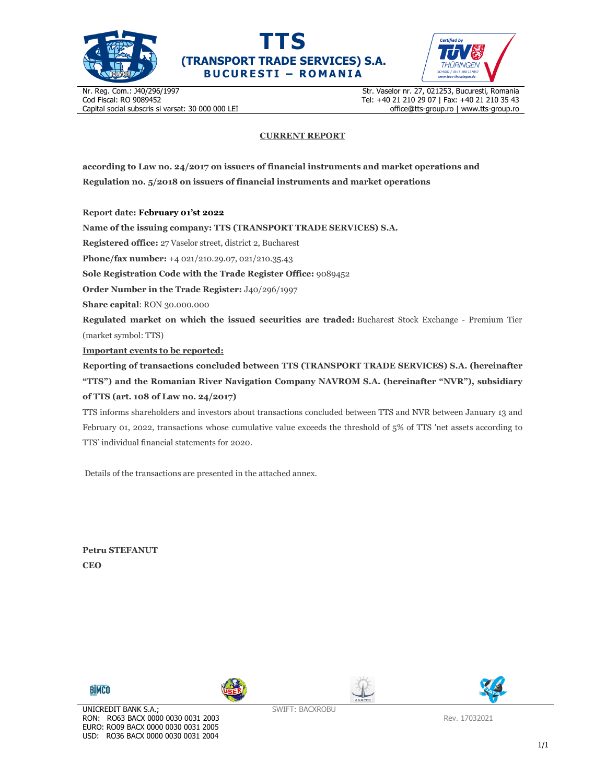





Nr. Reg. Com.: J40/296/1997 Cod Fiscal: RO 9089452 Capital social subscris si varsat: 30 000 000 LEI Str. Vaselor nr. 27, 021253, Bucuresti, Romania Tel: +40 21 210 29 07 | Fax: +40 21 210 35 43 office@tts-group.ro | www.tts-group.ro

## **CURRENT REPORT**

**according to Law no. 24/2017 on issuers of financial instruments and market operations and Regulation no. 5/2018 on issuers of financial instruments and market operations** 

**Report date: February 01'st 2022**

**Name of the issuing company: TTS (TRANSPORT TRADE SERVICES) S.A.**

**Registered office:** 27 Vaselor street, district 2, Bucharest

**Phone/fax number:** +4 021/210.29.07, 021/210.35.43

**Sole Registration Code with the Trade Register Office:** 9089452

**Order Number in the Trade Register:** J40/296/1997

**Share capital**: RON 30.000.000

**Regulated market on which the issued securities are traded:** Bucharest Stock Exchange - Premium Tier (market symbol: TTS)

**Important events to be reported:**

**Reporting of transactions concluded between TTS (TRANSPORT TRADE SERVICES) S.A. (hereinafter "TTS") and the Romanian River Navigation Company NAVROM S.A. (hereinafter "NVR"), subsidiary of TTS (art. 108 of Law no. 24/2017)** 

TTS informs shareholders and investors about transactions concluded between TTS and NVR between January 13 and February 01, 2022, transactions whose cumulative value exceeds the threshold of 5% of TTS 'net assets according to TTS' individual financial statements for 2020.

Details of the transactions are presented in the attached annex.

**Petru STEFANUT CEO** 









SWIFT: BACXROBU

Rev. 17032021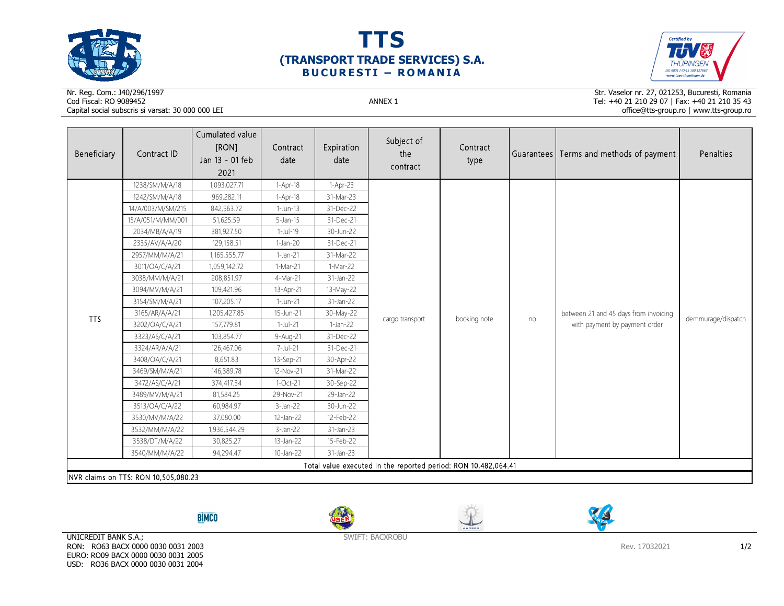





## Nr. Reg. Com.: J40/296/1997Cod Fiscal: RO 9089452 ANNEX 1 Capital social subscris si varsat: 30 000 000 LEI

Str. Vaselor nr. 27, 021253, Bucuresti, Romania Tel: +40 21 210 29 07 | Fax: +40 21 210 35 43 office@tts-group.ro | www.tts-group.ro

| Beneficiary                                                    | Contract ID       | Cumulated value<br>[RON]<br>Jan 13 - 01 feb<br>2021 | Contract<br>date | Expiration<br>date | Subject of<br>the<br>contract | Contract<br>type |    | Guarantees Terms and methods of payment                                | Penalties          |  |
|----------------------------------------------------------------|-------------------|-----------------------------------------------------|------------------|--------------------|-------------------------------|------------------|----|------------------------------------------------------------------------|--------------------|--|
|                                                                | 1238/SM/M/A/18    | 1,093,027.71                                        | $1-Apr-18$       | $1-Apr-23$         | cargo transport               | booking note     | no | between 21 and 45 days from invoicing<br>with payment by payment order | demmurage/dispatch |  |
|                                                                | 1242/SM/M/A/18    | 969,282.11                                          | $1-Apr-18$       | 31-Mar-23          |                               |                  |    |                                                                        |                    |  |
|                                                                | 14/A/003/M/SM/215 | 842,563.72                                          | 1-Jun-13         | 31-Dec-22          |                               |                  |    |                                                                        |                    |  |
|                                                                | 15/A/051/M/MM/001 | 51,625.59                                           | $5$ -Jan-15      | 31-Dec-21          |                               |                  |    |                                                                        |                    |  |
|                                                                | 2034/MB/A/A/19    | 381,927.50                                          | $1-Jul-19$       | 30-Jun-22          |                               |                  |    |                                                                        |                    |  |
|                                                                | 2335/AV/A/A/20    | 129,158.51                                          | $1-Jan-20$       | 31-Dec-21          |                               |                  |    |                                                                        |                    |  |
|                                                                | 2957/MM/M/A/21    | 1,165,555.77                                        | $1-Jan-21$       | 31-Mar-22          |                               |                  |    |                                                                        |                    |  |
|                                                                | 3011/OA/C/A/21    | 1,059,142.72                                        | 1-Mar-21         | 1-Mar-22           |                               |                  |    |                                                                        |                    |  |
|                                                                | 3038/MM/M/A/21    | 208,851.97                                          | 4-Mar-21         | 31-Jan-22          |                               |                  |    |                                                                        |                    |  |
|                                                                | 3094/MV/M/A/21    | 109,421.96                                          | 13-Apr-21        | 13-May-22          |                               |                  |    |                                                                        |                    |  |
|                                                                | 3154/SM/M/A/21    | 107,205.17                                          | 1-Jun-21         | 31-Jan-22          |                               |                  |    |                                                                        |                    |  |
| <b>TTS</b>                                                     | 3165/AR/A/A/21    | 1,205,427.85                                        | 15-Jun-21        | 30-May-22          |                               |                  |    |                                                                        |                    |  |
|                                                                | 3202/OA/C/A/21    | 157,779.81                                          | $1$ -Jul-21      | $1-Jan-22$         |                               |                  |    |                                                                        |                    |  |
|                                                                | 3323/AS/C/A/21    | 103,854.77                                          | 9-Aug-21         | 31-Dec-22          |                               |                  |    |                                                                        |                    |  |
|                                                                | 3324/AR/A/A/21    | 126,467.06                                          | 7-Jul-21         | 31-Dec-21          |                               |                  |    |                                                                        |                    |  |
|                                                                | 3408/OA/C/A/21    | 8,651.83                                            | 13-Sep-21        | 30-Apr-22          |                               |                  |    |                                                                        |                    |  |
|                                                                | 3469/SM/M/A/21    | 146,389.78                                          | 12-Nov-21        | 31-Mar-22          |                               |                  |    |                                                                        |                    |  |
|                                                                | 3472/AS/C/A/21    | 374,417.34                                          | $1-Oct-21$       | 30-Sep-22          |                               |                  |    |                                                                        |                    |  |
|                                                                | 3489/MV/M/A/21    | 81,584.25                                           | 29-Nov-21        | 29-Jan-22          |                               |                  |    |                                                                        |                    |  |
|                                                                | 3513/OA/C/A/22    | 60,984.97                                           | $3$ -Jan-22      | 30-Jun-22          |                               |                  |    |                                                                        |                    |  |
|                                                                | 3530/MV/M/A/22    | 37,080.00                                           | 12-Jan-22        | 12-Feb-22          |                               |                  |    |                                                                        |                    |  |
|                                                                | 3532/MM/M/A/22    | 1,936,544.29                                        | $3$ -Jan-22      | 31-Jan-23          |                               |                  |    |                                                                        |                    |  |
|                                                                | 3538/DT/M/A/22    | 30,825.27                                           | 13-Jan-22        | 15-Feb-22          |                               |                  |    |                                                                        |                    |  |
|                                                                | 3540/MM/M/A/22    | 94,294.47                                           | 10-Jan-22        | 31-Jan-23          |                               |                  |    |                                                                        |                    |  |
| Total value executed in the reported period: RON 10,482,064.41 |                   |                                                     |                  |                    |                               |                  |    |                                                                        |                    |  |
| NVR claims on TTS: RON 10,505,080.23                           |                   |                                                     |                  |                    |                               |                  |    |                                                                        |                    |  |

**BİMCO** 







UNICREDIT BANK S.A.; RON: RO63 BACX 0000 0030 0031 2003 EURO: RO09 BACX 0000 0030 0031 2005 USD: RO36 BACX 0000 0030 0031 2004

SWIFT: BACXROBU